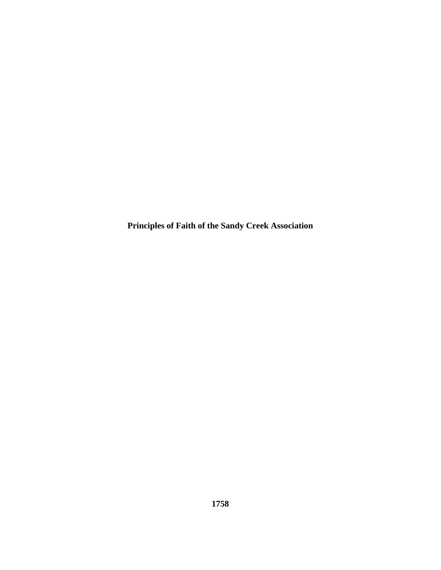**Principles of Faith of the Sandy Creek Association**